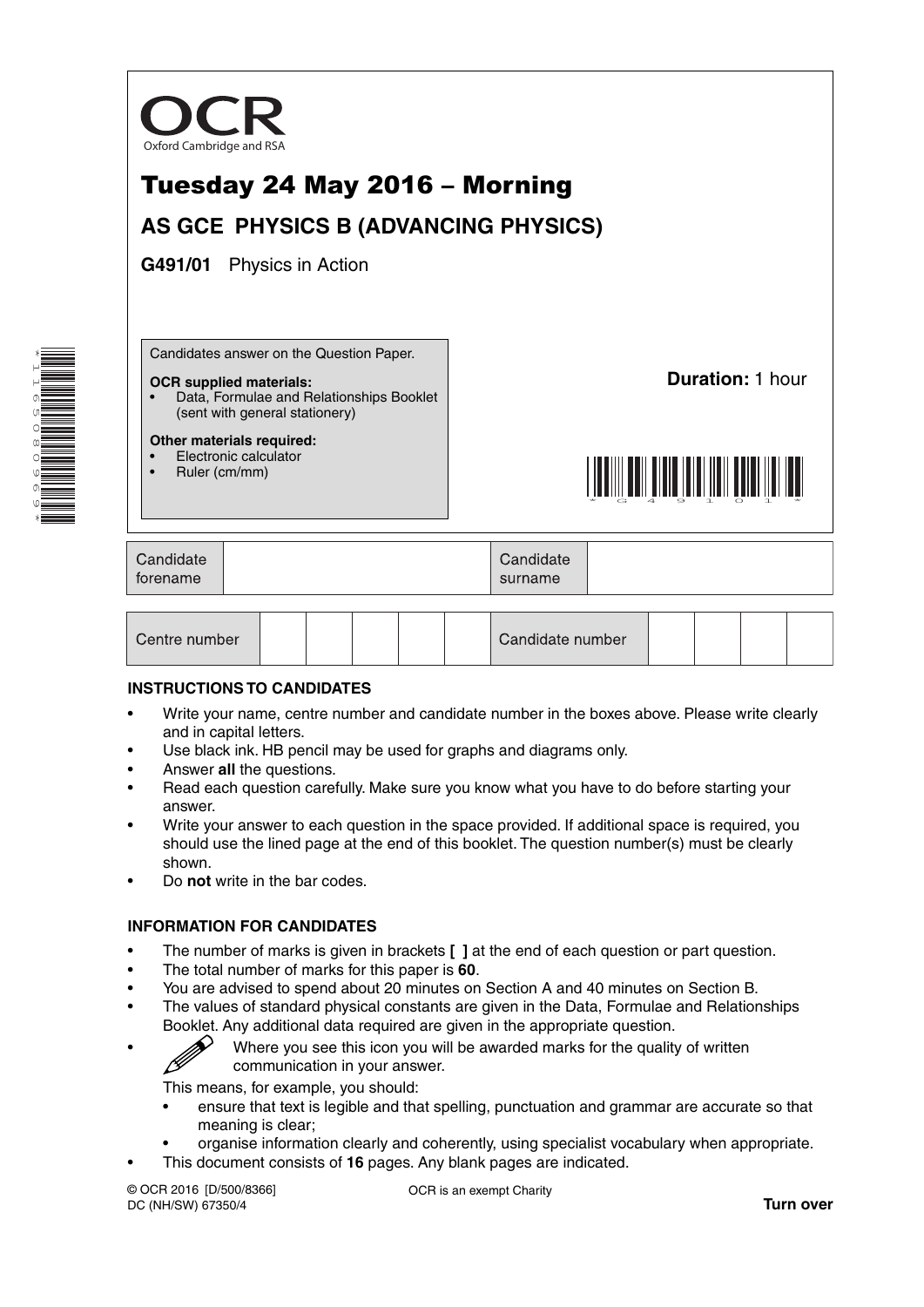

| Centre number | Candidate number |
|---------------|------------------|
|---------------|------------------|

#### **INSTRUCTIONS TO CANDIDATES**

- Write your name, centre number and candidate number in the boxes above. Please write clearly and in capital letters.
- Use black ink. HB pencil may be used for graphs and diagrams only.
- Answer **all** the questions.

\*1165080969\*

- Read each question carefully. Make sure you know what you have to do before starting your answer.
- Write your answer to each question in the space provided. If additional space is required, you should use the lined page at the end of this booklet. The question number(s) must be clearly shown.
- Do **not** write in the bar codes.

#### **INFORMATION FOR CANDIDATES**

- The number of marks is given in brackets **[ ]** at the end of each question or part question.
- The total number of marks for this paper is **60**.
- You are advised to spend about 20 minutes on Section A and 40 minutes on Section B.
- The values of standard physical constants are given in the Data, Formulae and Relationships Booklet. Any additional data required are given in the appropriate question.
	- Where you see this icon you will be awarded marks for the quality of written communication in your answer.

This means, for example, you should:

- ensure that text is legible and that spelling, punctuation and grammar are accurate so that meaning is clear;
- organise information clearly and coherently, using specialist vocabulary when appropriate.
- This document consists of **16** pages. Any blank pages are indicated.

© OCR 2016 [D/500/8366] DC (NH/SW) 67350/4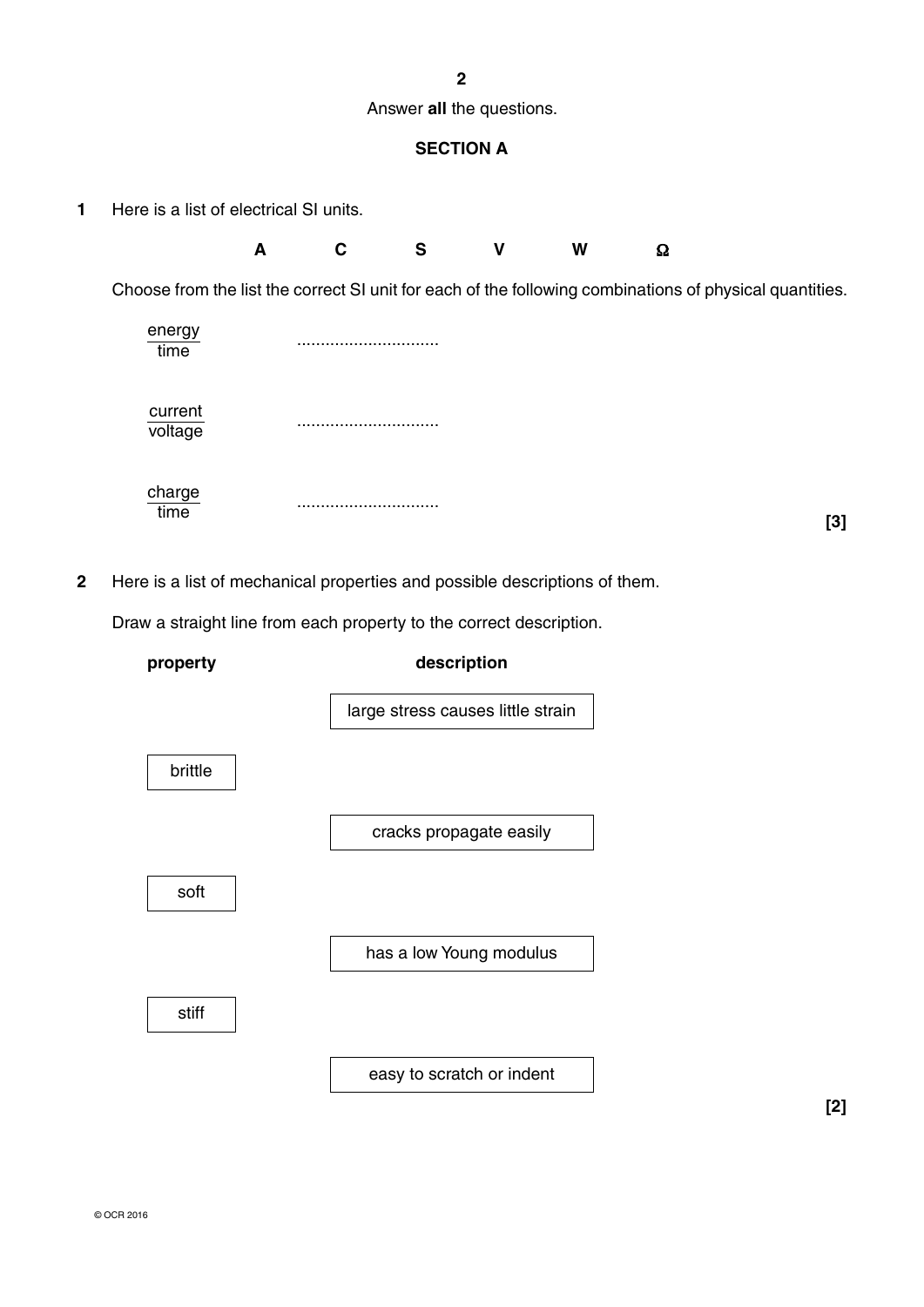**2**

Answer **all** the questions.

## **SECTION A**

**1** Here is a list of electrical SI units.

| A |  | W | Ω |
|---|--|---|---|
|   |  |   |   |

Choose from the list the correct SI unit for each of the following combinations of physical quantities.

| energy<br>time                    |           |
|-----------------------------------|-----------|
| $\frac{current}{voltage}$         |           |
| $rac{\text{charge}}{\text{time}}$ | <br>$[3]$ |

**2** Here is a list of mechanical properties and possible descriptions of them.

Draw a straight line from each property to the correct description.



**[2]**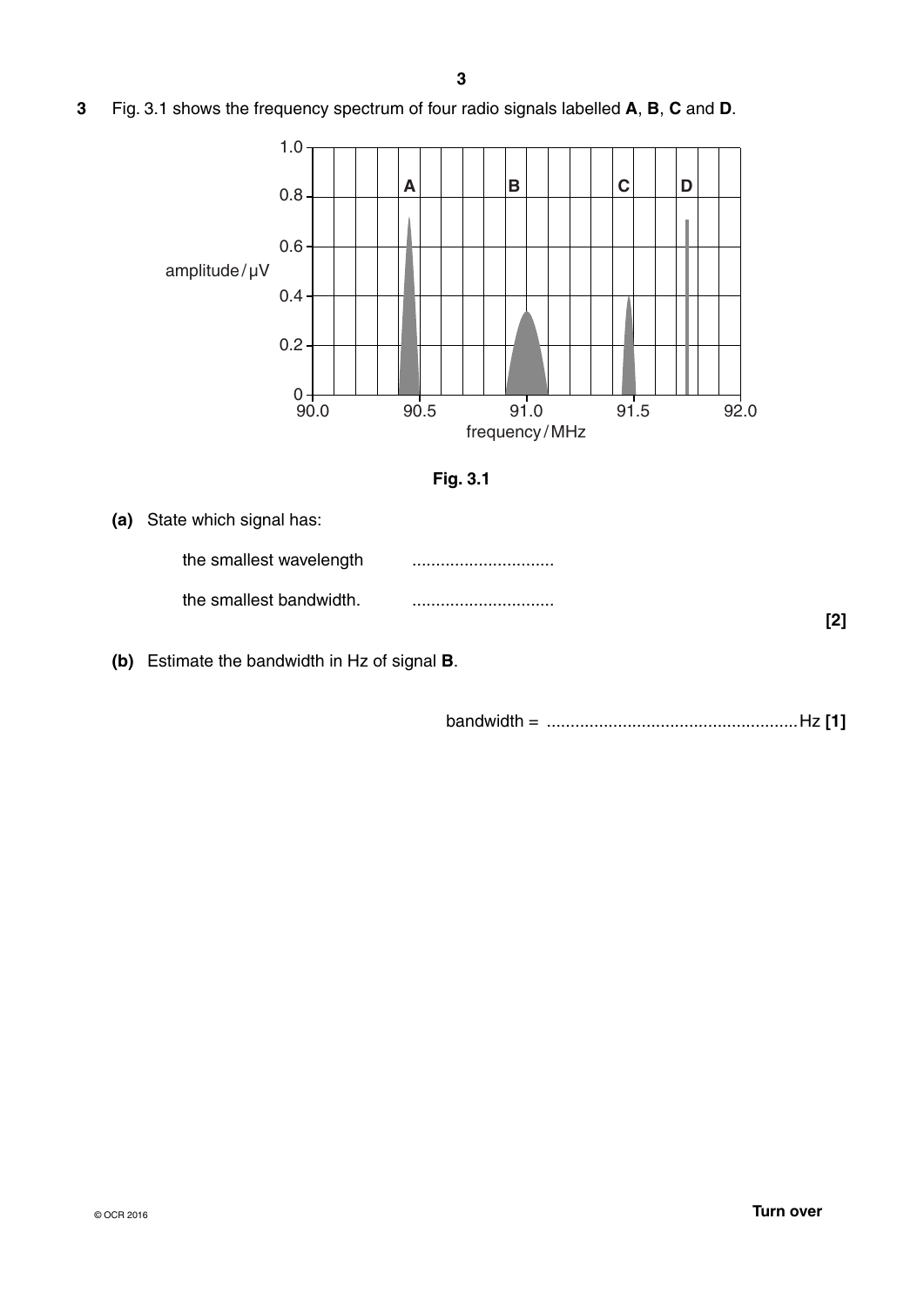**3** Fig. 3.1 shows the frequency spectrum of four radio signals labelled **A**, **B**, **C** and **D**.





| (a) State which signal has: |     |
|-----------------------------|-----|
| the smallest wavelength     |     |
| the smallest bandwidth.     |     |
|                             | [2] |

 **(b)** Estimate the bandwidth in Hz of signal **B**.

bandwidth = .....................................................Hz **[1]**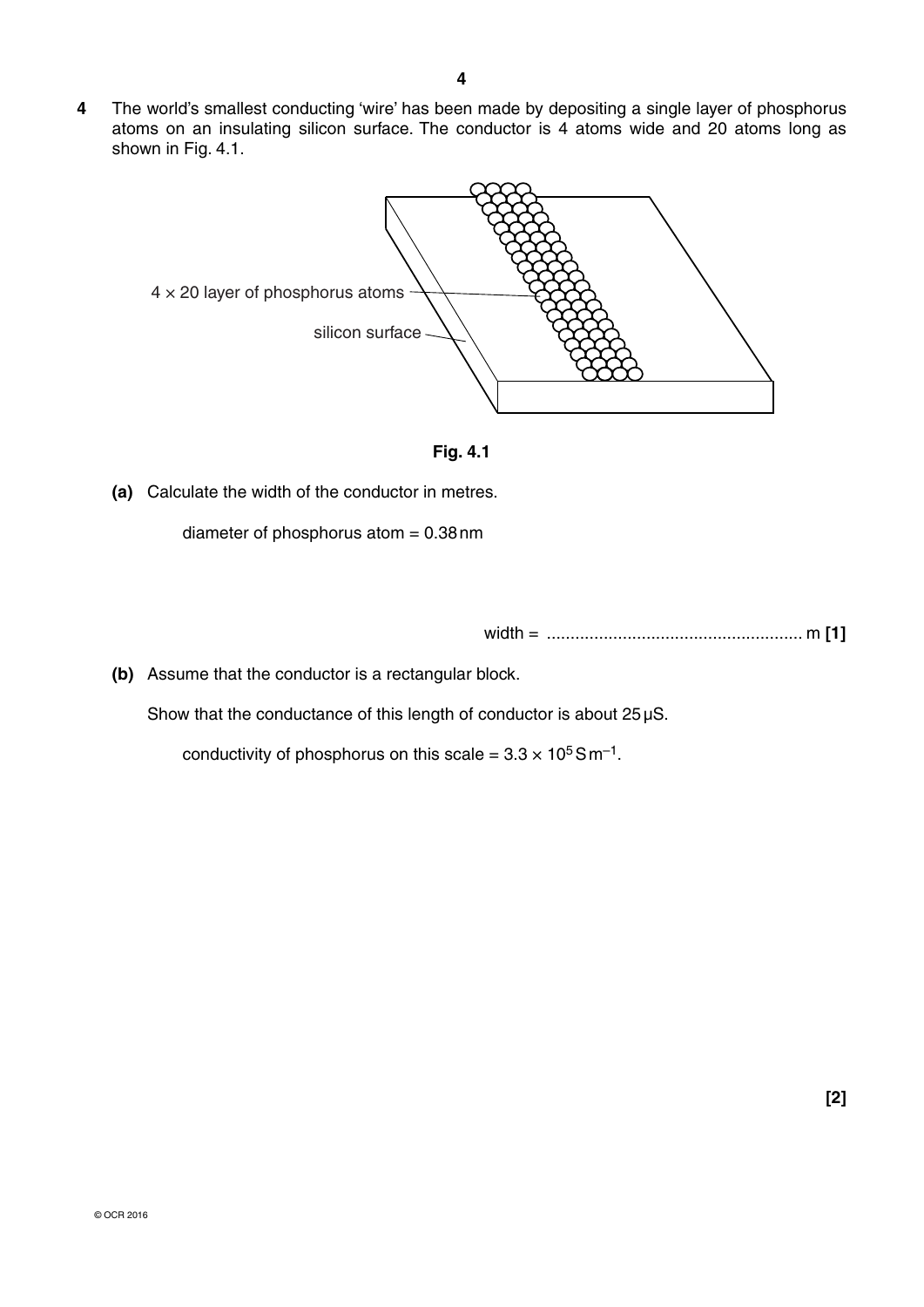**4** The world's smallest conducting 'wire' has been made by depositing a single layer of phosphorus atoms on an insulating silicon surface. The conductor is 4 atoms wide and 20 atoms long as shown in Fig. 4.1.





 **(a)** Calculate the width of the conductor in metres.

diameter of phosphorus atom  $= 0.38$  nm

width = ...................................................... m **[1]**

 **(b)** Assume that the conductor is a rectangular block.

Show that the conductance of this length of conductor is about 25 µS.

conductivity of phosphorus on this scale =  $3.3 \times 10^5$  S m<sup>-1</sup>.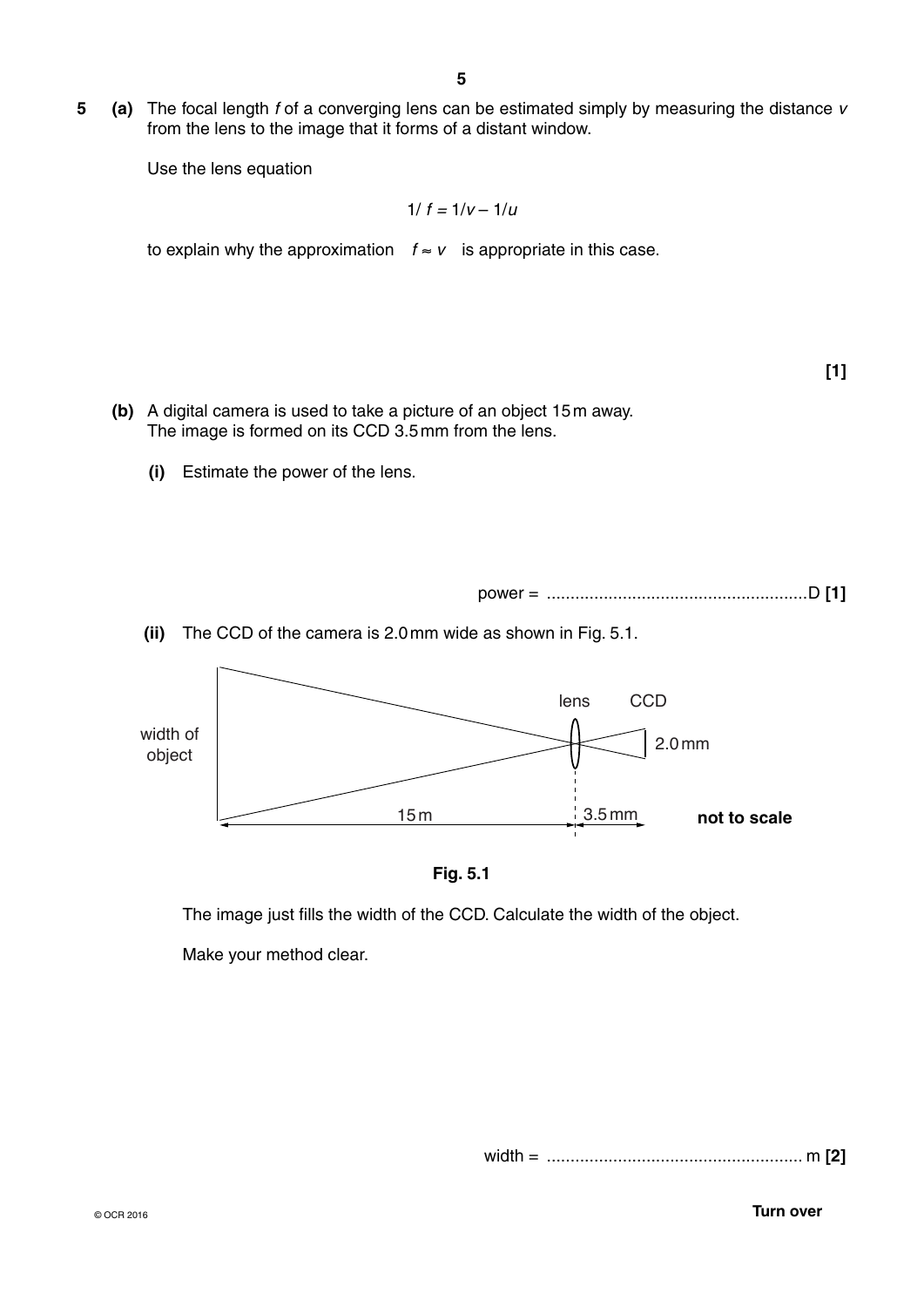**5 (a)** The focal length *f* of a converging lens can be estimated simply by measuring the distance *v*  from the lens to the image that it forms of a distant window.

Use the lens equation

$$
1/\,f=1/v-1/u
$$

to explain why the approximation  $f ≈ v$  is appropriate in this case.

- **(b)** A digital camera is used to take a picture of an object 15 m away. The image is formed on its CCD 3.5 mm from the lens.
	- **(i)** Estimate the power of the lens.



 **(ii)** The CCD of the camera is 2.0 mm wide as shown in Fig. 5.1.





The image just fills the width of the CCD. Calculate the width of the object.

Make your method clear.

width = ...................................................... m **[2]** 

© OCR 2016 **Turn over**

**[1]**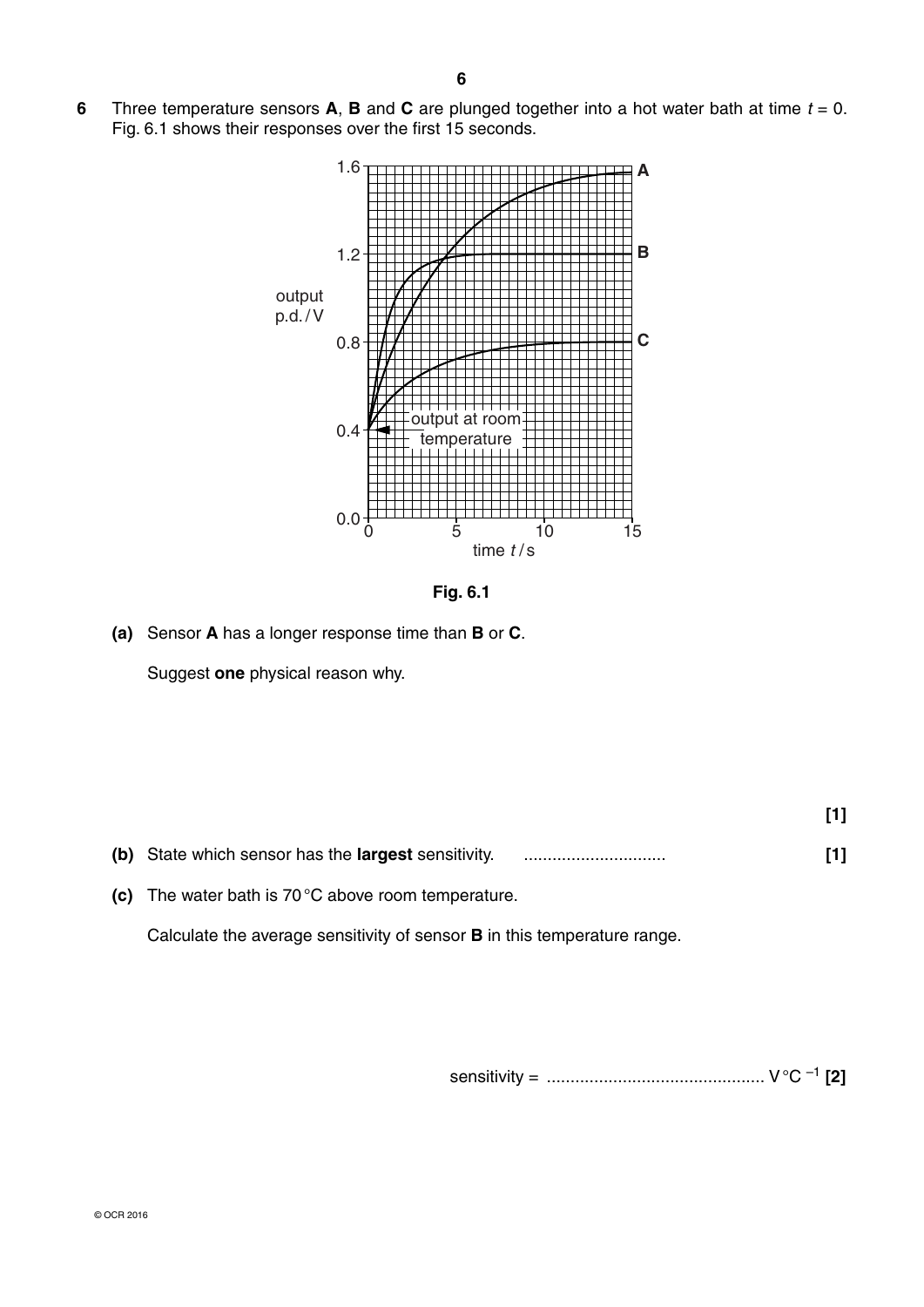

**Fig. 6.1**

 **(a)** Sensor **A** has a longer response time than **B** or **C**.

Suggest **one** physical reason why.

| The water bath is $70^{\circ}$ C above room temperature. |  |
|----------------------------------------------------------|--|

Calculate the average sensitivity of sensor **B** in this temperature range.

sensitivity = .............................................. V °C –1 **[2]**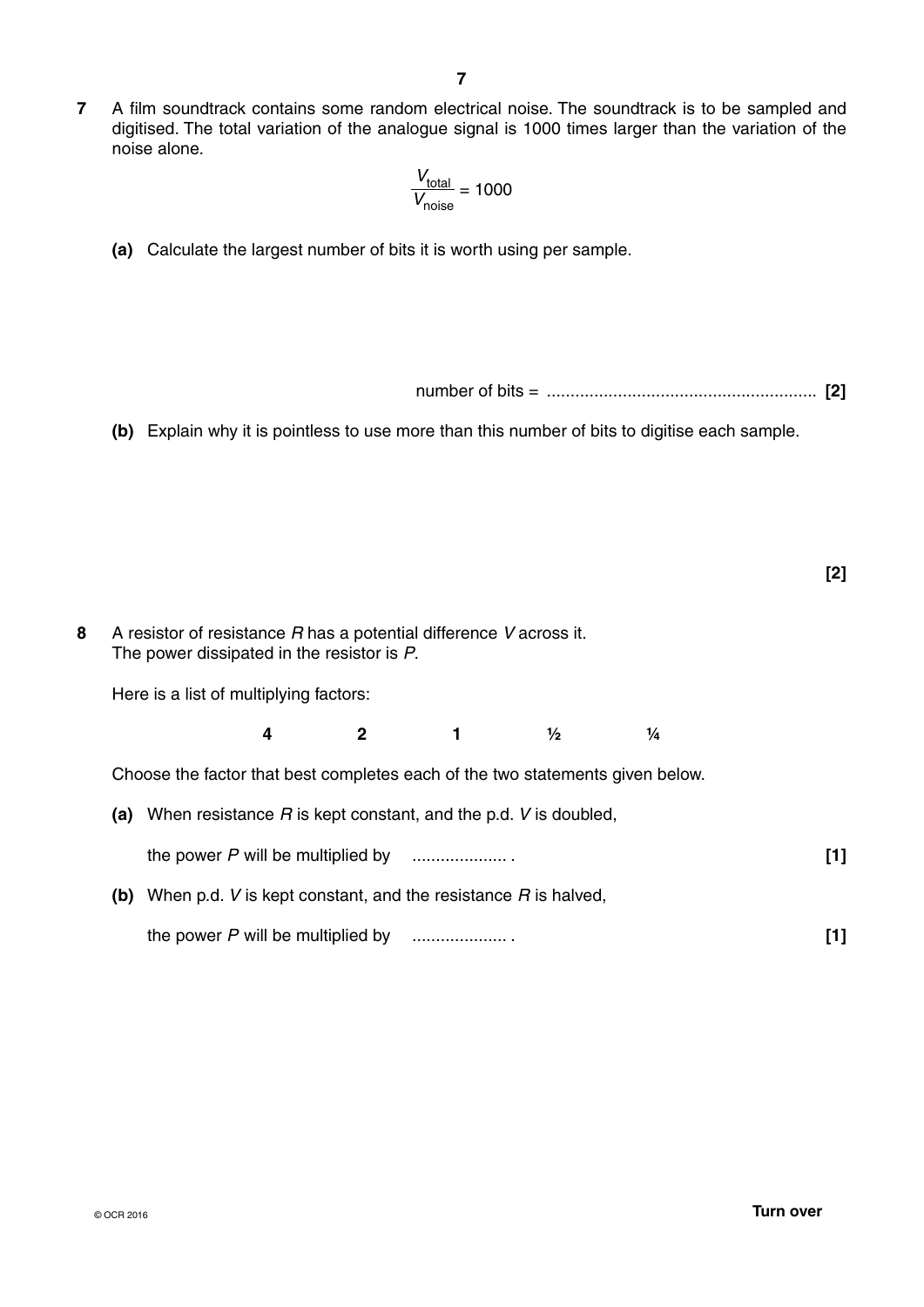**7** A film soundtrack contains some random electrical noise. The soundtrack is to be sampled and digitised. The total variation of the analogue signal is 1000 times larger than the variation of the noise alone.

$$
\frac{V_{\text{total}}}{V_{\text{noise}}} = 1000
$$

- **(a)** Calculate the largest number of bits it is worth using per sample.
	- number of bits = ......................................................... **[2]**
- **(b)** Explain why it is pointless to use more than this number of bits to digitise each sample.

- **8** A resistor of resistance *R* has a potential difference *V* across it. The power dissipated in the resistor is *P*. Here is a list of multiplying factors: **4 2 1 ½ ¼** Choose the factor that best completes each of the two statements given below.  **(a)** When resistance *R* is kept constant, and the p.d. *V* is doubled, the power *P* will be multiplied by .................... . **[1]**
	- **(b)** When p.d. *V* is kept constant, and the resistance *R* is halved, the power *P* will be multiplied by .................... . **[1]**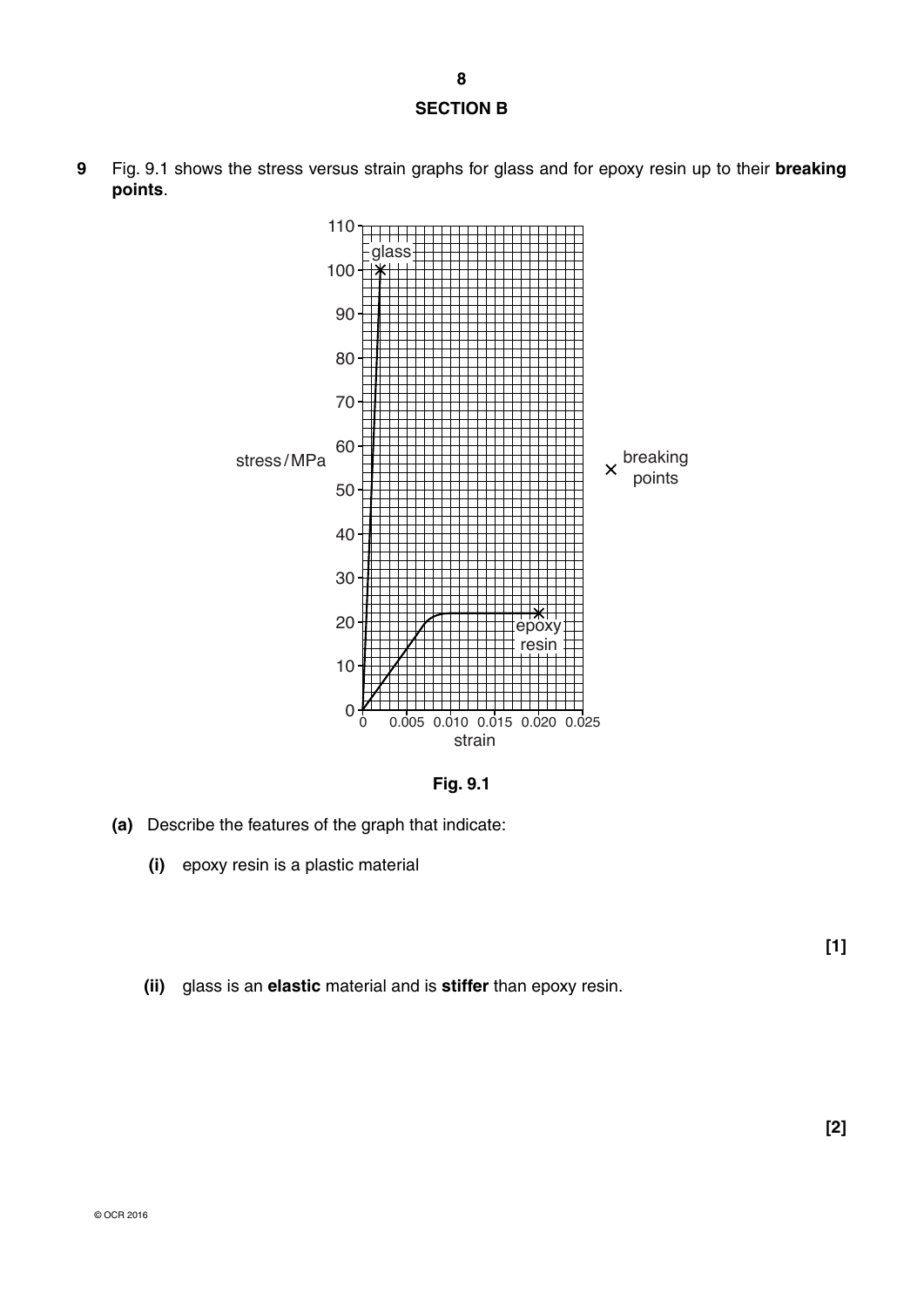# **SECTION B**

**9** Fig. 9.1 shows the stress versus strain graphs for glass and for epoxy resin up to their **breaking points**.



**Fig. 9.1**

- **(a)** Describe the features of the graph that indicate:
	- **(i)** epoxy resin is a plastic material
	- **(ii)** glass is an **elastic** material and is **stiffer** than epoxy resin.

**[1]**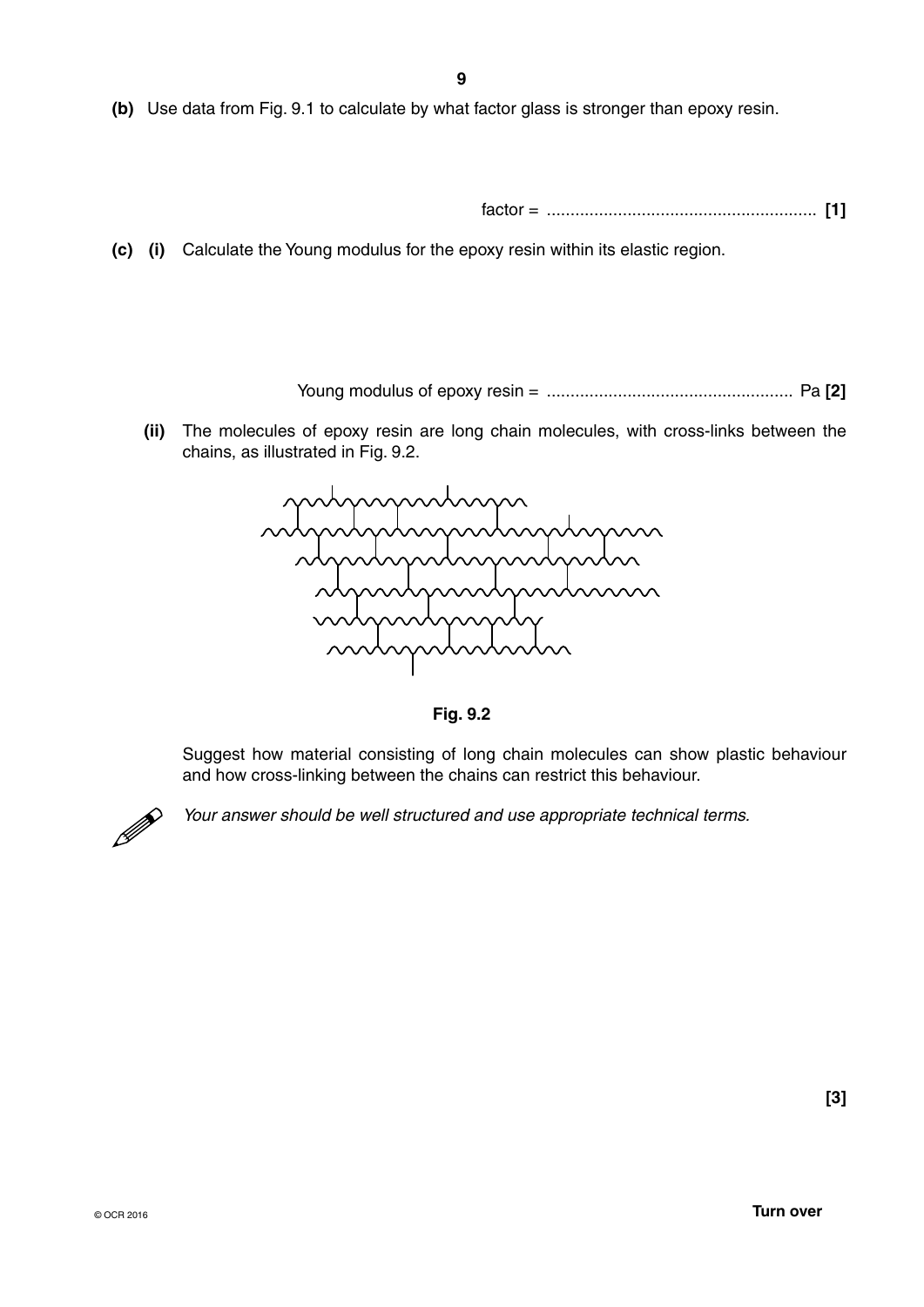**(b)** Use data from Fig. 9.1 to calculate by what factor glass is stronger than epoxy resin.

factor = ......................................................... **[1]**

 **(c) (i)** Calculate the Young modulus for the epoxy resin within its elastic region.

Young modulus of epoxy resin = .................................................... Pa **[2]**

 **(ii)** The molecules of epoxy resin are long chain molecules, with cross-links between the chains, as illustrated in Fig. 9.2.



**Fig. 9.2**

Suggest how material consisting of long chain molecules can show plastic behaviour and how cross-linking between the chains can restrict this behaviour.



*Your answer should be well structured and use appropriate technical terms.*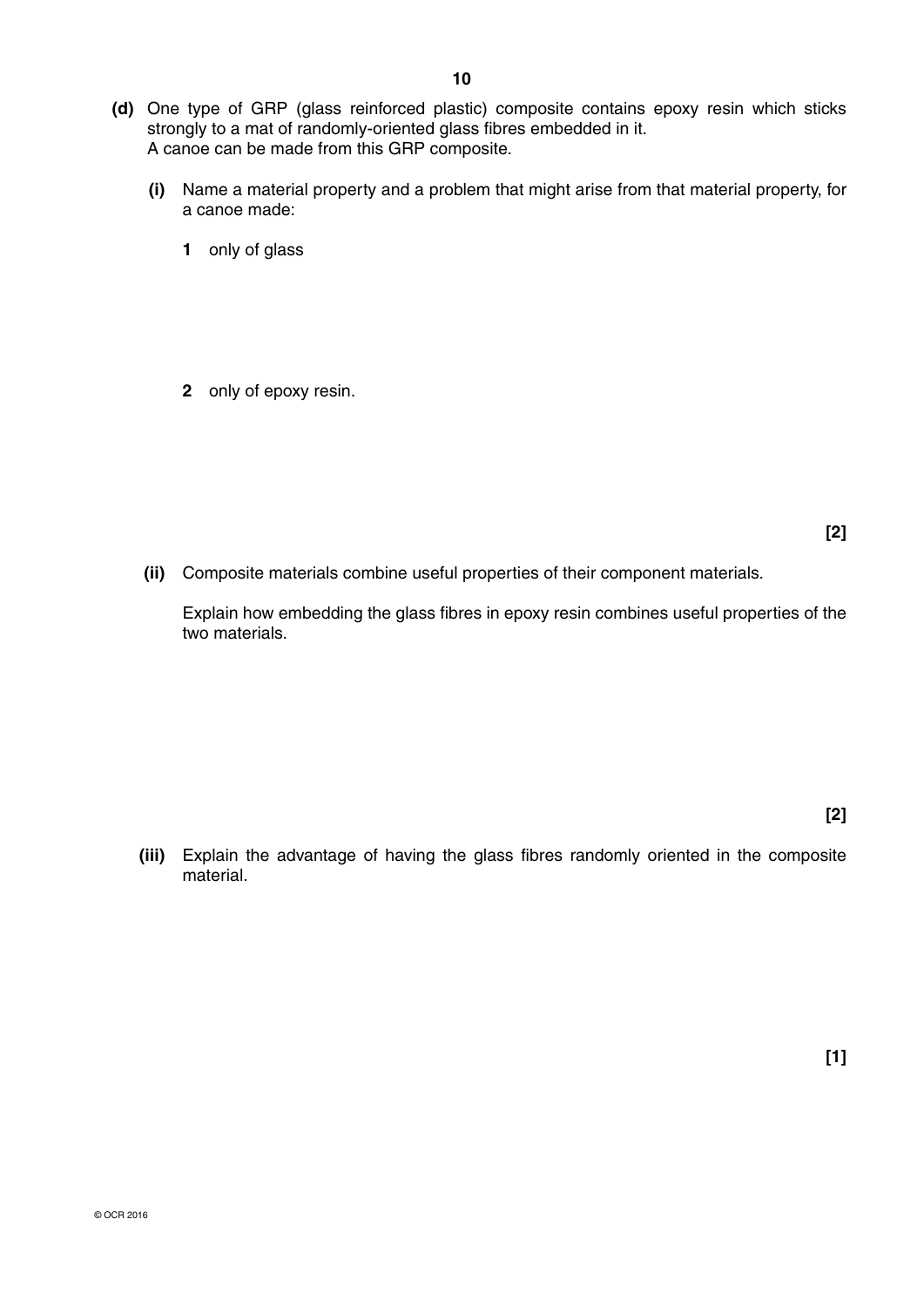- **(d)** One type of GRP (glass reinforced plastic) composite contains epoxy resin which sticks strongly to a mat of randomly-oriented glass fibres embedded in it. A canoe can be made from this GRP composite.
	- **(i)** Name a material property and a problem that might arise from that material property, for a canoe made:
		- **1** only of glass
		- **2** only of epoxy resin.

- **[2]**
- **(ii)** Composite materials combine useful properties of their component materials.

Explain how embedding the glass fibres in epoxy resin combines useful properties of the two materials.

 **(iii)** Explain the advantage of having the glass fibres randomly oriented in the composite material.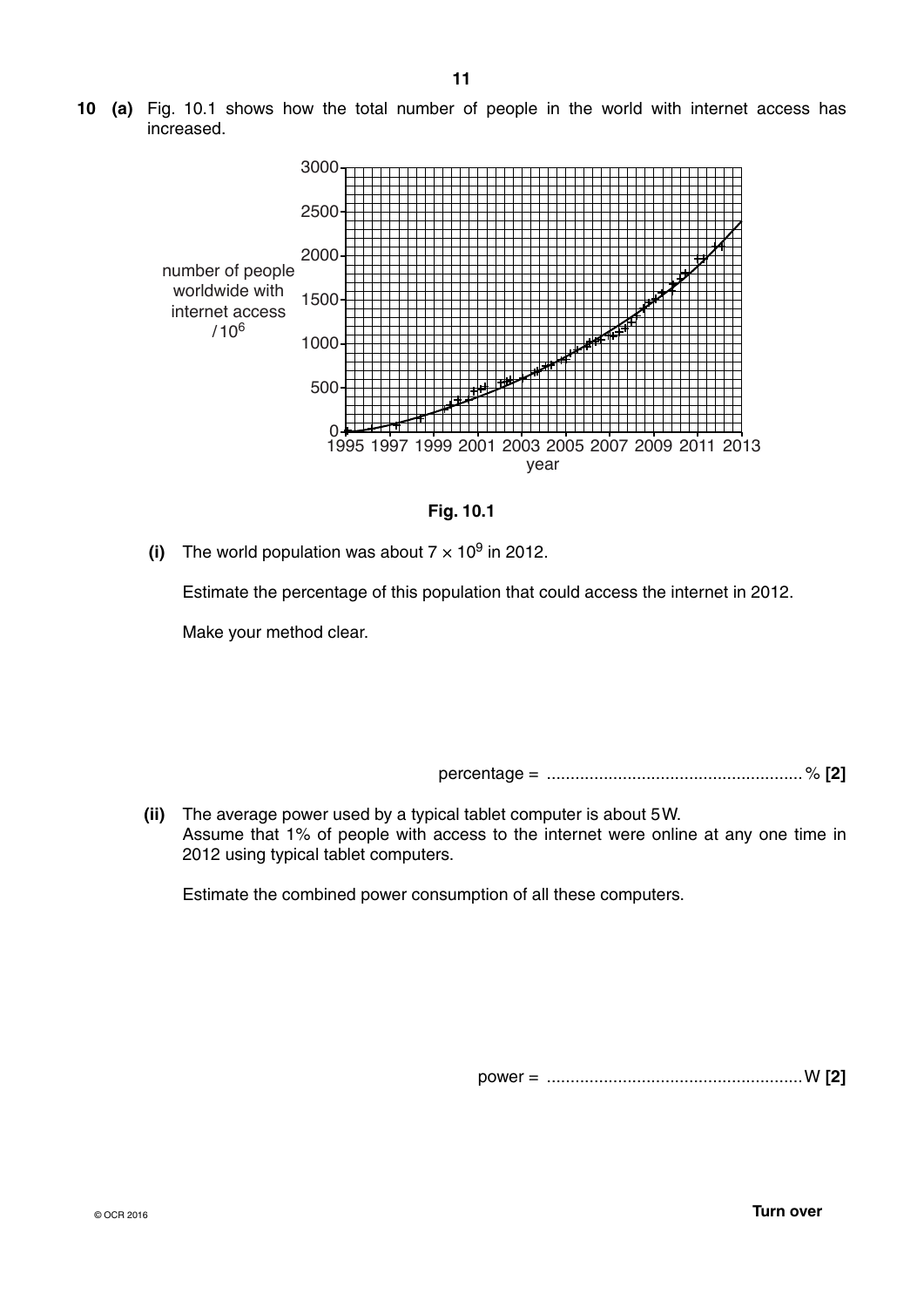**10 (a)** Fig. 10.1 shows how the total number of people in the world with internet access has increased.





**(i)** The world population was about  $7 \times 10^9$  in 2012.

Estimate the percentage of this population that could access the internet in 2012.

Make your method clear.

percentage = ...................................................... % **[2]**

 **(ii)** The average power used by a typical tablet computer is about 5 W. Assume that 1% of people with access to the internet were online at any one time in 2012 using typical tablet computers.

Estimate the combined power consumption of all these computers.

power = ......................................................W **[2]**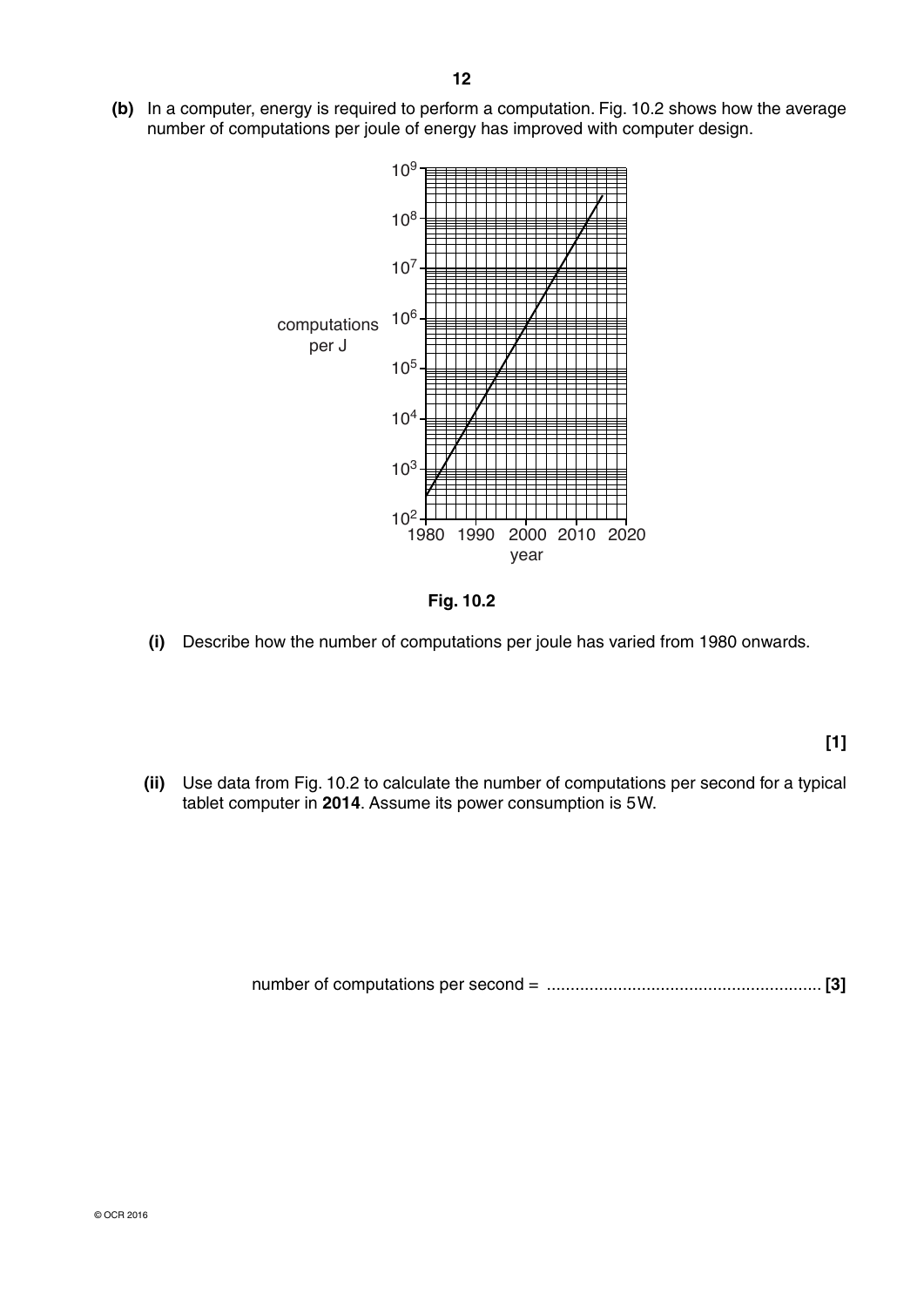**(b)** In a computer, energy is required to perform a computation. Fig. 10.2 shows how the average number of computations per joule of energy has improved with computer design.



**Fig. 10.2**

 **(i)** Describe how the number of computations per joule has varied from 1980 onwards.

**[1]**

 **(ii)** Use data from Fig. 10.2 to calculate the number of computations per second for a typical tablet computer in **2014**. Assume its power consumption is 5 W.

number of computations per second = .......................................................... **[3]**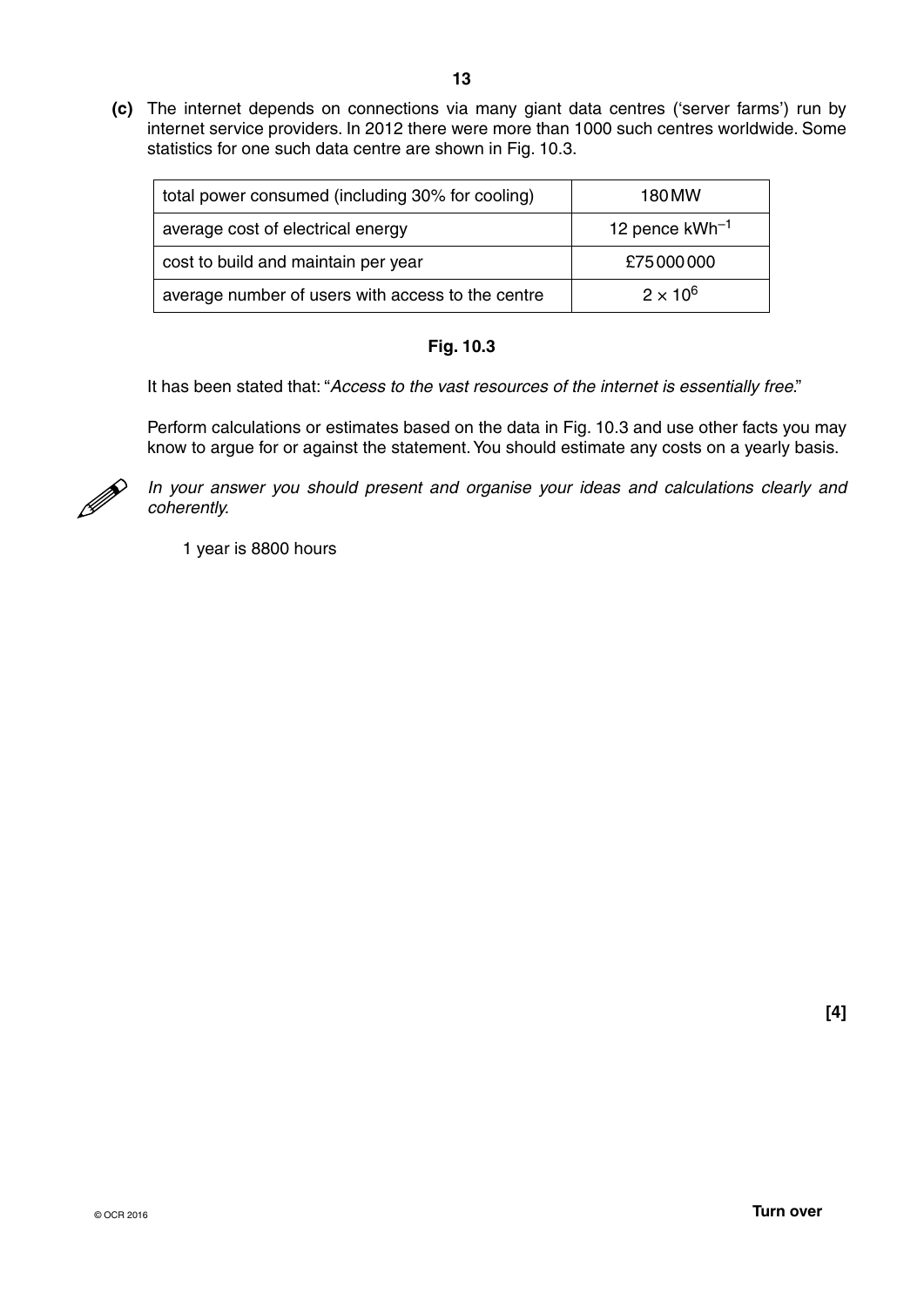**(c)** The internet depends on connections via many giant data centres ('server farms') run by internet service providers. In 2012 there were more than 1000 such centres worldwide. Some statistics for one such data centre are shown in Fig. 10.3.

| total power consumed (including 30% for cooling)  | 180 MW              |
|---------------------------------------------------|---------------------|
| average cost of electrical energy                 | 12 pence $kWh^{-1}$ |
| cost to build and maintain per year               | £75000000           |
| average number of users with access to the centre | $2 \times 10^6$     |

## **Fig. 10.3**

It has been stated that: "*Access to the vast resources of the internet is essentially free*."

Perform calculations or estimates based on the data in Fig. 10.3 and use other facts you may know to argue for or against the statement. You should estimate any costs on a yearly basis.



*In your answer you should present and organise your ideas and calculations clearly and coherently.*

1 year is 8800 hours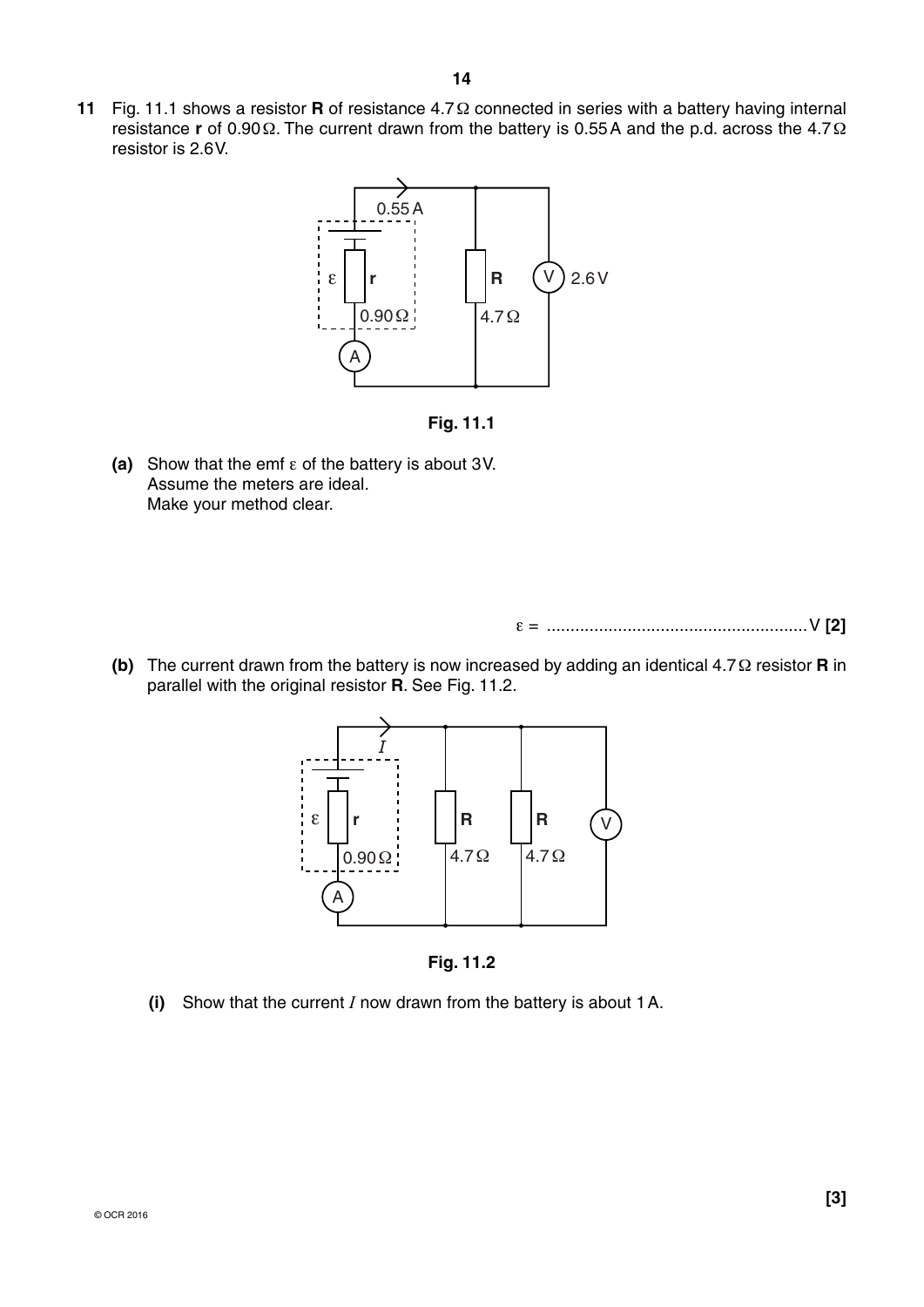



 **(a)** Show that the emf ε of the battery is about 3 V. Assume the meters are ideal. Make your method clear.

ε = .......................................................V **[2]**

 **(b)** The current drawn from the battery is now increased by adding an identical 4.7 Ω resistor **R** in parallel with the original resistor **R**. See Fig. 11.2.



**Fig. 11.2**

 **(i)** Show that the current *I* now drawn from the battery is about 1 A.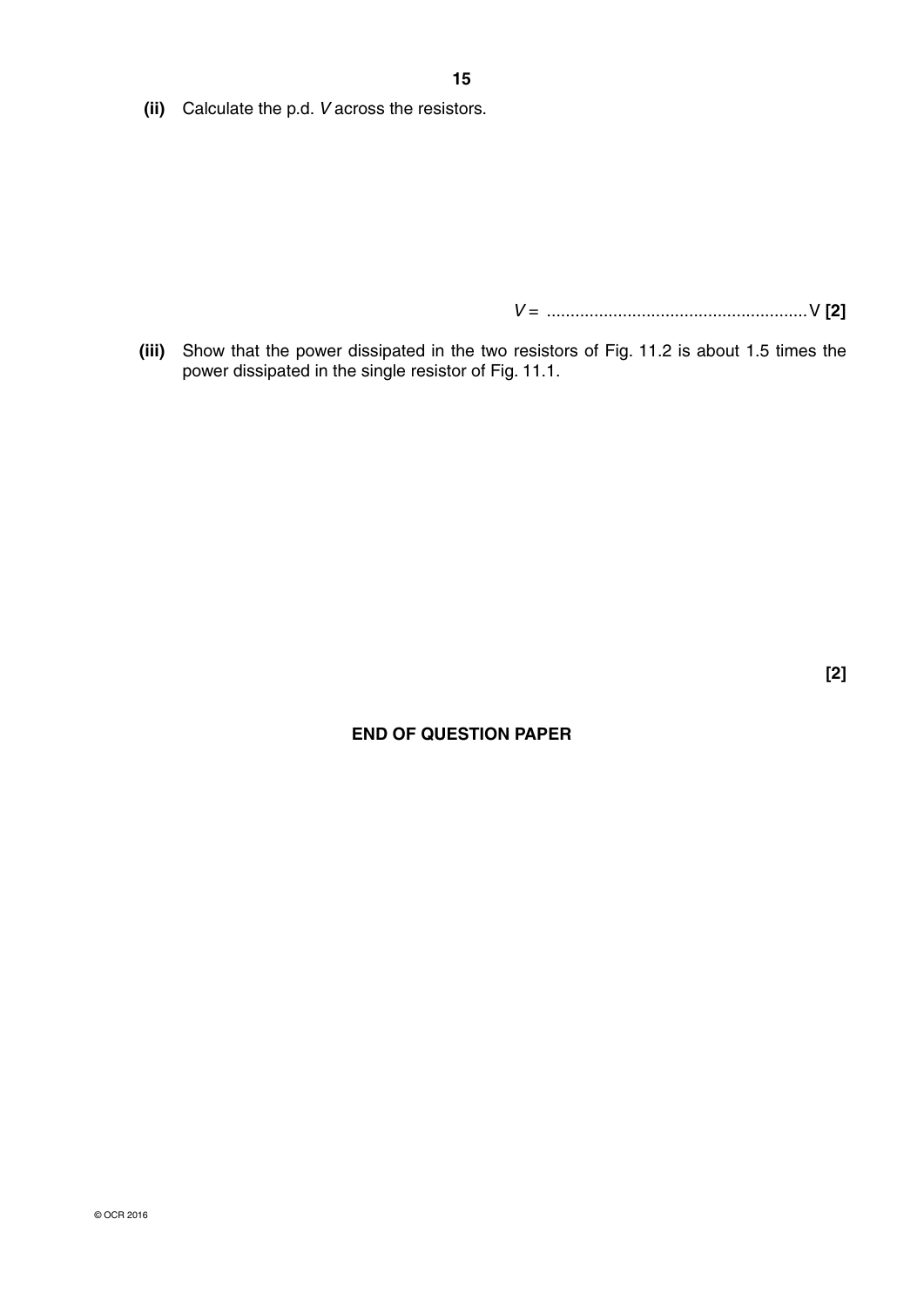**(ii)** Calculate the p.d. *V* across the resistors.

 *V* = .......................................................V **[2]**

 **(iii)** Show that the power dissipated in the two resistors of Fig. 11.2 is about 1.5 times the power dissipated in the single resistor of Fig. 11.1.

**[2]**

# **END OF QUESTION PAPER**